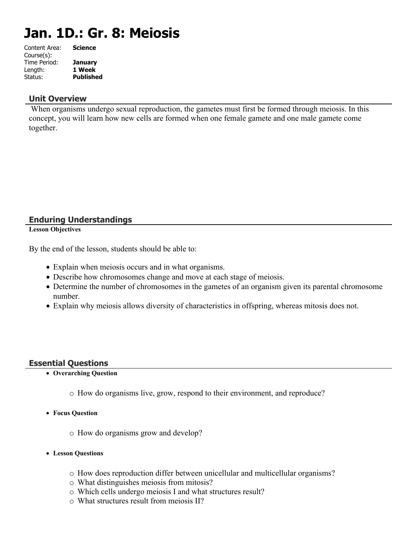# **Jan. 1D.: Gr. 8: Meiosis**

| <b>Science</b>   |
|------------------|
|                  |
| <b>January</b>   |
| 1 Week           |
| <b>Published</b> |
|                  |

#### **Unit Overview**

 When organisms undergo sexual reproduction, the gametes must first be formed through meiosis. In this concept, you will learn how new cells are formed when one female gamete and one male gamete come together.

# **Enduring Understandings**

**Lesson Objectives**

By the end of the lesson, students should be able to:

- Explain when meiosis occurs and in what organisms.
- Describe how chromosomes change and move at each stage of meiosis.
- Determine the number of chromosomes in the gametes of an organism given its parental chromosome number.
- Explain why meiosis allows diversity of characteristics in offspring, whereas mitosis does not.

### **Essential Questions**

- **Overarching Question**
	- o How do organisms live, grow, respond to their environment, and reproduce?
- **Focus Question**
	- o How do organisms grow and develop?
- **Lesson Questions**
	- o How does reproduction differ between unicellular and multicellular organisms?
	- o What distinguishes meiosis from mitosis?
	- o Which cells undergo meiosis I and what structures result?
	- o What structures result from meiosis II?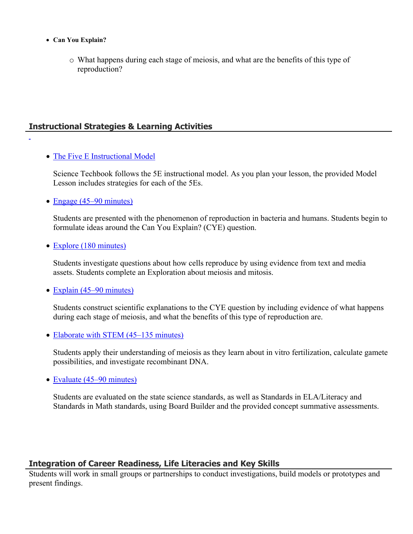- **Can You Explain?**
	- o What happens during each stage of meiosis, and what are the benefits of this type of reproduction?

# **Instructional Strategies & Learning Activities**

• [The Five E Instructional Model](https://app.discoveryeducation.com/learn/techbook/units/3391ad2d-bceb-45dc-a68b-8fd21ab33671/concepts/a7c5a927-05ca-4b90-ae84-417b98b9c5ef/lesson/sections/25f0804e-d59f-494c-a441-f8885091b210#5e94cb9b-6305-4f52-8881-3afb41960e27)

Science Techbook follows the 5E instructional model. As you plan your lesson, the provided Model Lesson includes strategies for each of the 5Es.

• [Engage \(45–90 minutes\)](https://app.discoveryeducation.com/learn/techbook/units/3391ad2d-bceb-45dc-a68b-8fd21ab33671/concepts/a7c5a927-05ca-4b90-ae84-417b98b9c5ef/lesson/sections/25f0804e-d59f-494c-a441-f8885091b210#a6b8ff95-984f-435e-a227-432e57066965)

Students are presented with the phenomenon of reproduction in bacteria and humans. Students begin to formulate ideas around the Can You Explain? (CYE) question.

• [Explore \(180 minutes\)](https://app.discoveryeducation.com/learn/techbook/units/3391ad2d-bceb-45dc-a68b-8fd21ab33671/concepts/a7c5a927-05ca-4b90-ae84-417b98b9c5ef/lesson/sections/25f0804e-d59f-494c-a441-f8885091b210#745a2b7a-168d-492b-9b03-1a8cac812b11)

Students investigate questions about how cells reproduce by using evidence from text and media assets. Students complete an Exploration about meiosis and mitosis.

• [Explain \(45–90 minutes\)](https://app.discoveryeducation.com/learn/techbook/units/3391ad2d-bceb-45dc-a68b-8fd21ab33671/concepts/a7c5a927-05ca-4b90-ae84-417b98b9c5ef/lesson/sections/25f0804e-d59f-494c-a441-f8885091b210#a5e5e4ac-fa96-43e1-8bef-9a3cbf0ea6bf)

Students construct scientific explanations to the CYE question by including evidence of what happens during each stage of meiosis, and what the benefits of this type of reproduction are.

• [Elaborate with STEM \(45–135 minutes\)](https://app.discoveryeducation.com/learn/techbook/units/3391ad2d-bceb-45dc-a68b-8fd21ab33671/concepts/a7c5a927-05ca-4b90-ae84-417b98b9c5ef/lesson/sections/25f0804e-d59f-494c-a441-f8885091b210#762c072d-f7bc-4289-b5a3-62fdd290b71b)

Students apply their understanding of meiosis as they learn about in vitro fertilization, calculate gamete possibilities, and investigate recombinant DNA.

• [Evaluate \(45–90 minutes\)](https://app.discoveryeducation.com/learn/techbook/units/3391ad2d-bceb-45dc-a68b-8fd21ab33671/concepts/a7c5a927-05ca-4b90-ae84-417b98b9c5ef/lesson/sections/25f0804e-d59f-494c-a441-f8885091b210#601d20c9-aca3-4f5b-b8a0-8f50d3665c83)

Students are evaluated on the state science standards, as well as Standards in ELA/Literacy and Standards in Math standards, using Board Builder and the provided concept summative assessments.

# **Integration of Career Readiness, Life Literacies and Key Skills**

Students will work in small groups or partnerships to conduct investigations, build models or prototypes and present findings.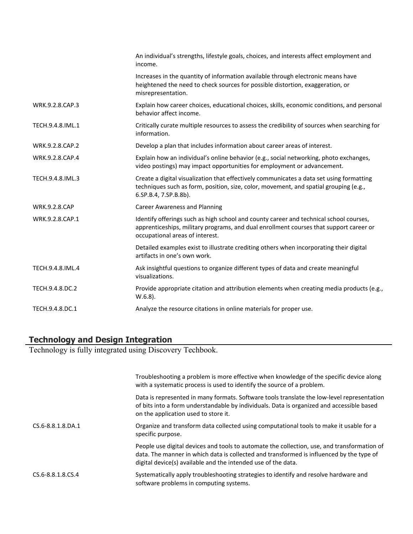|                      | An individual's strengths, lifestyle goals, choices, and interests affect employment and<br>income.                                                                                                                 |
|----------------------|---------------------------------------------------------------------------------------------------------------------------------------------------------------------------------------------------------------------|
|                      | Increases in the quantity of information available through electronic means have<br>heightened the need to check sources for possible distortion, exaggeration, or<br>misrepresentation.                            |
| WRK.9.2.8.CAP.3      | Explain how career choices, educational choices, skills, economic conditions, and personal<br>behavior affect income.                                                                                               |
| TECH.9.4.8.IML.1     | Critically curate multiple resources to assess the credibility of sources when searching for<br>information.                                                                                                        |
| WRK.9.2.8.CAP.2      | Develop a plan that includes information about career areas of interest.                                                                                                                                            |
| WRK.9.2.8.CAP.4      | Explain how an individual's online behavior (e.g., social networking, photo exchanges,<br>video postings) may impact opportunities for employment or advancement.                                                   |
| TECH.9.4.8.IML.3     | Create a digital visualization that effectively communicates a data set using formatting<br>techniques such as form, position, size, color, movement, and spatial grouping (e.g.,<br>6.SP.B.4, 7.SP.B.8b).          |
| <b>WRK.9.2.8.CAP</b> | <b>Career Awareness and Planning</b>                                                                                                                                                                                |
| WRK.9.2.8.CAP.1      | Identify offerings such as high school and county career and technical school courses,<br>apprenticeships, military programs, and dual enrollment courses that support career or<br>occupational areas of interest. |
|                      | Detailed examples exist to illustrate crediting others when incorporating their digital<br>artifacts in one's own work.                                                                                             |
| TECH.9.4.8.IML.4     | Ask insightful questions to organize different types of data and create meaningful<br>visualizations.                                                                                                               |
| TECH.9.4.8.DC.2      | Provide appropriate citation and attribution elements when creating media products (e.g.,<br>$W.6.8$ ).                                                                                                             |
| TECH.9.4.8.DC.1      | Analyze the resource citations in online materials for proper use.                                                                                                                                                  |
|                      |                                                                                                                                                                                                                     |

# **Technology and Design Integration**

Technology is fully integrated using Discovery Techbook.

|                   | Troubleshooting a problem is more effective when knowledge of the specific device along<br>with a systematic process is used to identify the source of a problem.                                                                                        |
|-------------------|----------------------------------------------------------------------------------------------------------------------------------------------------------------------------------------------------------------------------------------------------------|
|                   | Data is represented in many formats. Software tools translate the low-level representation<br>of bits into a form understandable by individuals. Data is organized and accessible based<br>on the application used to store it.                          |
| CS.6-8.8.1.8.DA.1 | Organize and transform data collected using computational tools to make it usable for a<br>specific purpose.                                                                                                                                             |
|                   | People use digital devices and tools to automate the collection, use, and transformation of<br>data. The manner in which data is collected and transformed is influenced by the type of<br>digital device(s) available and the intended use of the data. |
| CS.6-8.8.1.8.CS.4 | Systematically apply troubleshooting strategies to identify and resolve hardware and<br>software problems in computing systems.                                                                                                                          |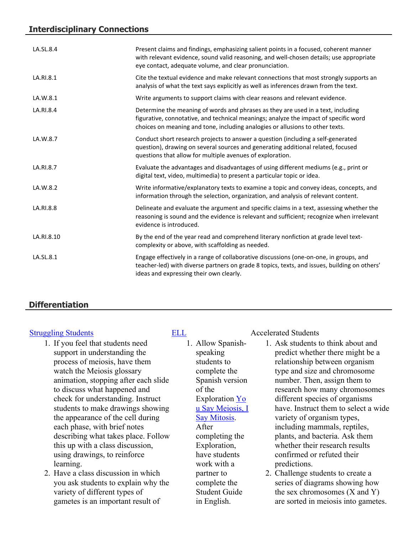# **Interdisciplinary Connections**

| LA.SL.8.4  | Present claims and findings, emphasizing salient points in a focused, coherent manner<br>with relevant evidence, sound valid reasoning, and well-chosen details; use appropriate<br>eye contact, adequate volume, and clear pronunciation.                |
|------------|-----------------------------------------------------------------------------------------------------------------------------------------------------------------------------------------------------------------------------------------------------------|
| LA.RI.8.1  | Cite the textual evidence and make relevant connections that most strongly supports an<br>analysis of what the text says explicitly as well as inferences drawn from the text.                                                                            |
| LA.W.8.1   | Write arguments to support claims with clear reasons and relevant evidence.                                                                                                                                                                               |
| LA.RI.8.4  | Determine the meaning of words and phrases as they are used in a text, including<br>figurative, connotative, and technical meanings; analyze the impact of specific word<br>choices on meaning and tone, including analogies or allusions to other texts. |
| LA.W.8.7   | Conduct short research projects to answer a question (including a self-generated<br>question), drawing on several sources and generating additional related, focused<br>questions that allow for multiple avenues of exploration.                         |
| LA.RI.8.7  | Evaluate the advantages and disadvantages of using different mediums (e.g., print or<br>digital text, video, multimedia) to present a particular topic or idea.                                                                                           |
| LA.W.8.2   | Write informative/explanatory texts to examine a topic and convey ideas, concepts, and<br>information through the selection, organization, and analysis of relevant content.                                                                              |
| LA.RI.8.8  | Delineate and evaluate the argument and specific claims in a text, assessing whether the<br>reasoning is sound and the evidence is relevant and sufficient; recognize when irrelevant<br>evidence is introduced.                                          |
| LA.RI.8.10 | By the end of the year read and comprehend literary nonfiction at grade level text-<br>complexity or above, with scaffolding as needed.                                                                                                                   |
| LA.SL.8.1  | Engage effectively in a range of collaborative discussions (one-on-one, in groups, and<br>teacher-led) with diverse partners on grade 8 topics, texts, and issues, building on others'<br>ideas and expressing their own clearly.                         |

# **Differentiation**

- 1. If you feel that students need support in understanding the process of meiosis, have them watch the Meiosis glossary animation, stopping after each slide to discuss what happened and check for understanding. Instruct students to make drawings showing the appearance of the cell during each phase, with brief notes describing what takes place. Follow this up with a class discussion, using drawings, to reinforce learning.
- 2. Have a class discussion in which you ask students to explain why the variety of different types of gametes is an important result of

1. Allow Spanishspeaking students to complete the Spanish version of the Exploration [Yo](https://app.discoveryeducation.com/player/view/assetGuid/01eb911a-f324-4601-9c79-4b7d1dce8b9a) [u Say Meiosis, I](https://app.discoveryeducation.com/player/view/assetGuid/01eb911a-f324-4601-9c79-4b7d1dce8b9a)  [Say Mitosis.](https://app.discoveryeducation.com/player/view/assetGuid/01eb911a-f324-4601-9c79-4b7d1dce8b9a) After completing the Exploration, have students work with a partner to complete the Student Guide in English.

#### [Struggling Students](https://app.discoveryeducation.com/player/view/assetGuid/4995767F-D634-40C6-B25B-BDEA06E14F90) [ELL](https://app.discoveryeducation.com/player/view/assetGuid/D727DF69-B79B-4A92-AA1F-CE23C74D98D9) Accelerated Students

- 1. Ask students to think about and predict whether there might be a relationship between organism type and size and chromosome number. Then, assign them to research how many chromosomes different species of organisms have. Instruct them to select a wide variety of organism types, including mammals, reptiles, plants, and bacteria. Ask them whether their research results confirmed or refuted their predictions.
- 2. Challenge students to create a series of diagrams showing how the sex chromosomes (X and Y) are sorted in meiosis into gametes.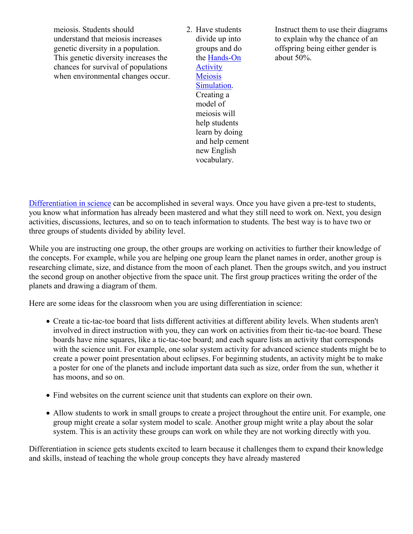meiosis. Students should understand that meiosis increases genetic diversity in a population. This genetic diversity increases the chances for survival of populations when environmental changes occur. 2. Have students divide up into groups and do the [Hands-On](https://app.discoveryeducation.com/player/view/assetGuid/8187e494-acbe-401b-a269-fd7fd84b083c)  **Activity** [Meiosis](https://app.discoveryeducation.com/player/view/assetGuid/8187e494-acbe-401b-a269-fd7fd84b083c)  [Simulation](https://app.discoveryeducation.com/player/view/assetGuid/8187e494-acbe-401b-a269-fd7fd84b083c). Creating a model of meiosis will help students learn by doing and help cement new English vocabulary.

Instruct them to use their diagrams to explain why the chance of an offspring being either gender is about 50%.

[Differentiation in science](http://www.brighthubeducation.com/teaching-gifted-students/65181-differentiation-techniques-and-activities-in-the-classroom-for-gifted-students/) can be accomplished in several ways. Once you have given a pre-test to students, you know what information has already been mastered and what they still need to work on. Next, you design activities, discussions, lectures, and so on to teach information to students. The best way is to have two or three groups of students divided by ability level.

While you are instructing one group, the other groups are working on activities to further their knowledge of the concepts. For example, while you are helping one group learn the planet names in order, another group is researching climate, size, and distance from the moon of each planet. Then the groups switch, and you instruct the second group on another objective from the space unit. The first group practices writing the order of the planets and drawing a diagram of them.

Here are some ideas for the classroom when you are using differentiation in science:

- Create a tic-tac-toe board that lists different activities at different ability levels. When students aren't involved in direct instruction with you, they can work on activities from their tic-tac-toe board. These boards have nine squares, like a tic-tac-toe board; and each square lists an activity that corresponds with the science unit. For example, one solar system activity for advanced science students might be to create a power point presentation about eclipses. For beginning students, an activity might be to make a poster for one of the planets and include important data such as size, order from the sun, whether it has moons, and so on.
- Find websites on the current science unit that students can explore on their own.
- Allow students to work in small groups to create a project throughout the entire unit. For example, one group might create a solar system model to scale. Another group might write a play about the solar system. This is an activity these groups can work on while they are not working directly with you.

Differentiation in science gets students excited to learn because it challenges them to expand their knowledge and skills, instead of teaching the whole group concepts they have already mastered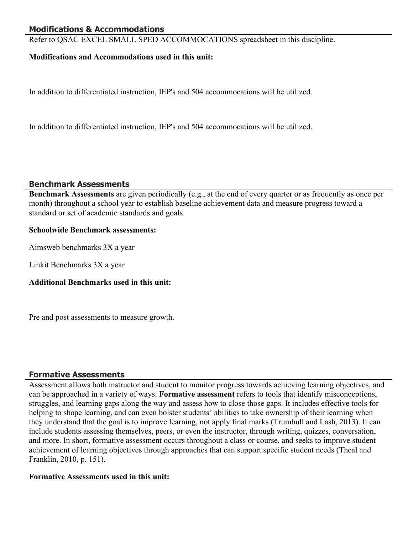# **Modifications & Accommodations**

Refer to QSAC EXCEL SMALL SPED ACCOMMOCATIONS spreadsheet in this discipline.

#### **Modifications and Accommodations used in this unit:**

In addition to differentiated instruction, IEP's and 504 accommocations will be utilized.

In addition to differentiated instruction, IEP's and 504 accommocations will be utilized.

#### **Benchmark Assessments**

**Benchmark Assessments** are given periodically (e.g., at the end of every quarter or as frequently as once per month) throughout a school year to establish baseline achievement data and measure progress toward a standard or set of academic standards and goals.

#### **Schoolwide Benchmark assessments:**

Aimsweb benchmarks 3X a year

Linkit Benchmarks 3X a year

### **Additional Benchmarks used in this unit:**

Pre and post assessments to measure growth.

### **Formative Assessments**

Assessment allows both instructor and student to monitor progress towards achieving learning objectives, and can be approached in a variety of ways. **Formative assessment** refers to tools that identify misconceptions, struggles, and learning gaps along the way and assess how to close those gaps. It includes effective tools for helping to shape learning, and can even bolster students' abilities to take ownership of their learning when they understand that the goal is to improve learning, not apply final marks (Trumbull and Lash, 2013). It can include students assessing themselves, peers, or even the instructor, through writing, quizzes, conversation, and more. In short, formative assessment occurs throughout a class or course, and seeks to improve student achievement of learning objectives through approaches that can support specific student needs (Theal and Franklin, 2010, p. 151).

#### **Formative Assessments used in this unit:**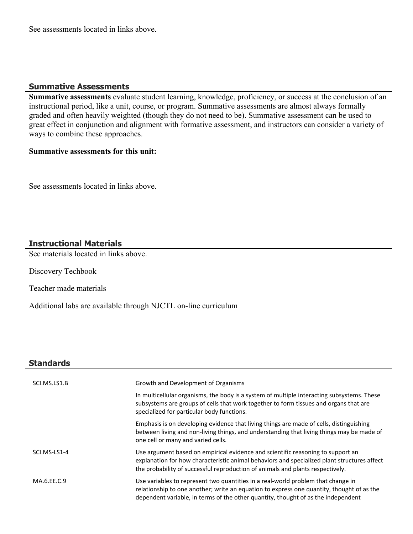See assessments located in links above.

#### **Summative Assessments**

**Summative assessments** evaluate student learning, knowledge, proficiency, or success at the conclusion of an instructional period, like a unit, course, or program. Summative assessments are almost always formally graded and often heavily weighted (though they do not need to be). Summative assessment can be used to great effect in conjunction and alignment with formative assessment, and instructors can consider a variety of ways to combine these approaches.

#### **Summative assessments for this unit:**

See assessments located in links above.

# **Instructional Materials**

See materials located in links above.

Discovery Techbook

Teacher made materials

Additional labs are available through NJCTL on-line curriculum

### **Standards**

| SCI.MS.LS1.B | Growth and Development of Organisms                                                                                                                                                                                                                                |
|--------------|--------------------------------------------------------------------------------------------------------------------------------------------------------------------------------------------------------------------------------------------------------------------|
|              | In multicellular organisms, the body is a system of multiple interacting subsystems. These<br>subsystems are groups of cells that work together to form tissues and organs that are<br>specialized for particular body functions.                                  |
|              | Emphasis is on developing evidence that living things are made of cells, distinguishing<br>between living and non-living things, and understanding that living things may be made of<br>one cell or many and varied cells.                                         |
| SCI.MS-LS1-4 | Use argument based on empirical evidence and scientific reasoning to support an<br>explanation for how characteristic animal behaviors and specialized plant structures affect<br>the probability of successful reproduction of animals and plants respectively.   |
| MA.6.EE.C.9  | Use variables to represent two quantities in a real-world problem that change in<br>relationship to one another; write an equation to express one quantity, thought of as the<br>dependent variable, in terms of the other quantity, thought of as the independent |